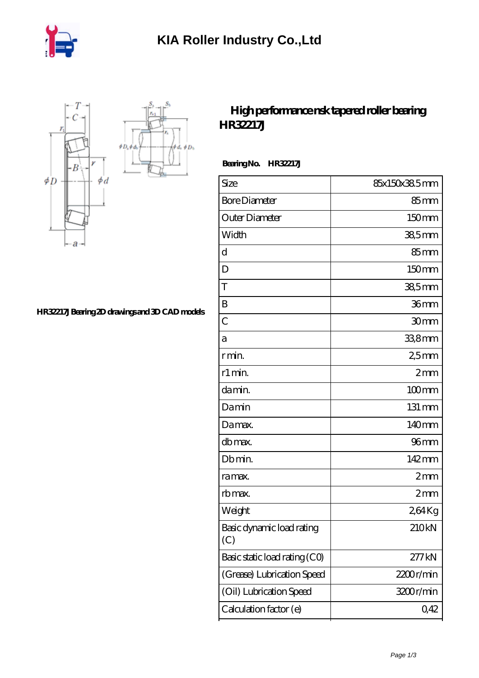

 $\phi D_h$ 



## **[HR32217J Bearing 2D drawings and 3D CAD models](https://m.iyded.com/pic-672932.html)**

## **[High performance nsk tapered roller bearing](https://m.iyded.com/au-672932-high-performance-nsk-tapered-roller-bearing-hr32217j.html) [HR32217J](https://m.iyded.com/au-672932-high-performance-nsk-tapered-roller-bearing-hr32217j.html)**

 **Bearing No. HR32217J**

| Size                             | 85x150x38.5mm    |
|----------------------------------|------------------|
| <b>Bore Diameter</b>             | 85 <sub>mm</sub> |
| Outer Diameter                   | 150mm            |
| Width                            | $385$ mm         |
| d                                | $85 \text{mm}$   |
| D                                | 150mm            |
| T                                | 38,5mm           |
| B                                | 36mm             |
| $\overline{C}$                   | 30mm             |
| а                                | 33,8mm           |
| r min.                           | 25 <sub>mm</sub> |
| r1 min.                          | 2mm              |
| damin.                           | $100$ mm         |
| Damin                            | 131 mm           |
| Damax.                           | 140mm            |
| db max.                          | 96 <sub>mm</sub> |
| Db min.                          | 142mm            |
| ra max.                          | 2mm              |
| rb max.                          | 2mm              |
| Weight                           | 264Kg            |
| Basic dynamic load rating<br>(C) | 210kN            |
| Basic static load rating (CO)    | 277kN            |
| (Grease) Lubrication Speed       | 2200r/min        |
| (Oil) Lubrication Speed          | 3200r/min        |
| Calculation factor (e)           | 0,42             |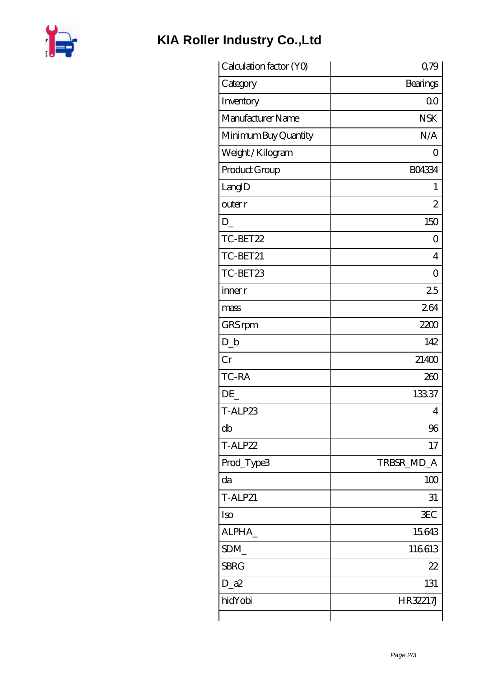

## KIA Roller Industry Co., Ltd

| Calculation factor (YO) | 0,79               |
|-------------------------|--------------------|
| Category                | <b>Bearings</b>    |
| Inventory               | 0 <sub>0</sub>     |
| Manufacturer Name       | <b>NSK</b>         |
| Minimum Buy Quantity    | N/A                |
| Weight / Kilogram       | $\left( \ \right)$ |
| Product Group           | <b>BO4334</b>      |
| LangID                  | 1                  |
| outer r                 | $\overline{c}$     |
| D                       | 150                |
| TC-BET22                | 0                  |
| TC-BET21                | $\overline{4}$     |
| TC-BET23                | $\overline{O}$     |
| inner r                 | 25                 |
| mass                    | 264                |
| GRS rpm                 | 2200               |
| $D_{-}b$                | 142                |
| Cr                      | 21400              |
| TC-RA                   | 260                |
| DE                      | 13337              |
| T-ALP23                 | 4                  |
| db                      | 96                 |
| T-ALP22                 | 17                 |
| Prod_Type3              | TRBSR_MD_A         |
| da                      | 100                |
| <b>T-ALP21</b>          | 31                 |
| Iso                     | <b>EC</b>          |
| ALPHA_                  | 15643              |
| SDM_                    | 116613             |
| <b>SBRG</b>             | 22                 |
| $D_a2$                  | 131                |
| hidYobi                 | HR32217J           |
|                         |                    |